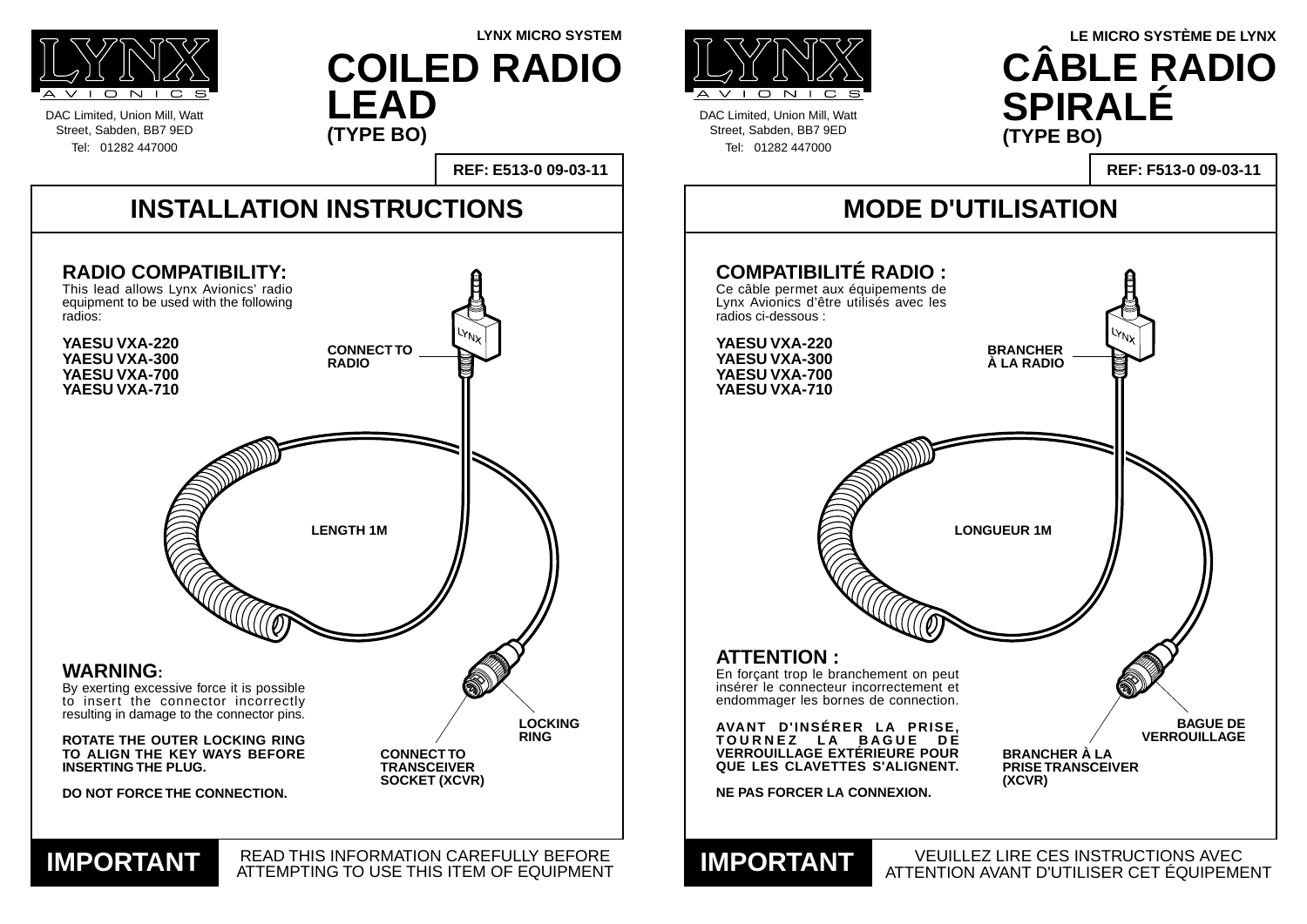DAC Limited, Union Mill, Watt Street, Sabden, BB7 9ED Tel: 01282 447000



DAC Limited, Union Mill, Watt Street, Sabden, BB7 9ED Tel: 01282 447000

### **MODE D'UTILISATION**

#### VEUILLEZ LIRE CES INSTRUCTIONS AVEC ATTENTION AVANT D'UTILISER CET ÉQUIPEMENT **IMPORTANT**



#### **REF: F513-0 09-03-11**

#### **ATTENTION :**

En forçant trop le branchement on peut insérer le connecteur incorrectement et endommager les bornes de connection.

**AVANT D'INSÉRER LA PRISE, TOURNEZ LA BAGUE DE VERROUILLAGE EXTÉRIEURE POUR QUE LES CLAVETTES S'ALIGNENT.**

**NE PAS FORCER LA CONNEXION.**

### **LYNX MICRO SYSTEM LE MICRO SYSTÈME DE LYNX CÂBLE RADIO SPIRALÉ (TYPE BO)**

Lynx Avionics d'être utilisés avec les radios ci-dessous :



**YAESU VXA-220 YAESU VXA-300 YAESU VXA-700 YAESU VXA-710**

**COILED RADIO LEAD (TYPE BO)**